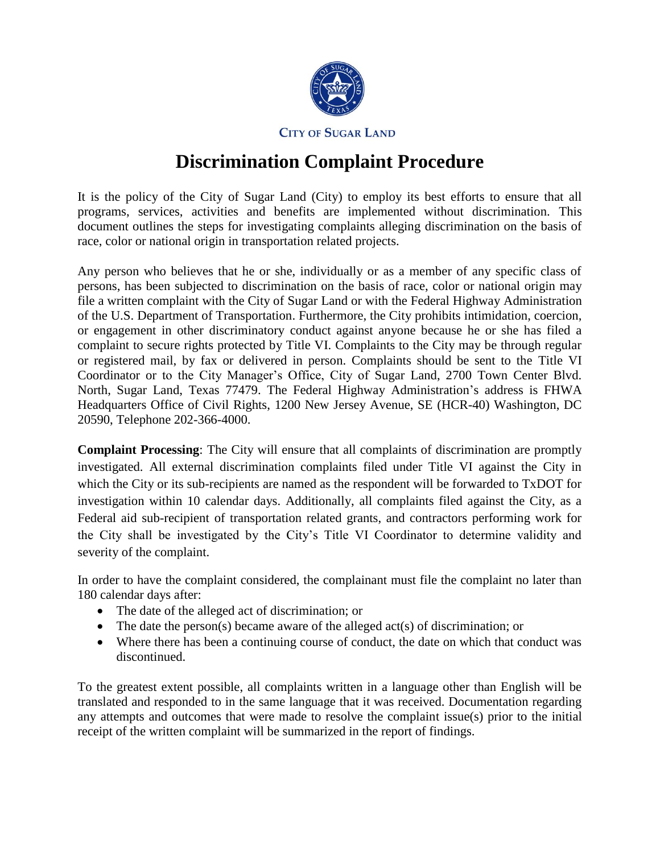

**CITY OF SUGAR LAND** 

## **Discrimination Complaint Procedure**

It is the policy of the City of Sugar Land (City) to employ its best efforts to ensure that all programs, services, activities and benefits are implemented without discrimination. This document outlines the steps for investigating complaints alleging discrimination on the basis of race, color or national origin in transportation related projects.

Any person who believes that he or she, individually or as a member of any specific class of persons, has been subjected to discrimination on the basis of race, color or national origin may file a written complaint with the City of Sugar Land or with the Federal Highway Administration of the U.S. Department of Transportation. Furthermore, the City prohibits intimidation, coercion, or engagement in other discriminatory conduct against anyone because he or she has filed a complaint to secure rights protected by Title VI. Complaints to the City may be through regular or registered mail, by fax or delivered in person. Complaints should be sent to the Title VI Coordinator or to the City Manager's Office, City of Sugar Land, 2700 Town Center Blvd. North, Sugar Land, Texas 77479. The Federal Highway Administration's address is FHWA Headquarters Office of Civil Rights, 1200 New Jersey Avenue, SE (HCR-40) Washington, DC 20590, Telephone 202-366-4000.

**Complaint Processing**: The City will ensure that all complaints of discrimination are promptly investigated. All external discrimination complaints filed under Title VI against the City in which the City or its sub-recipients are named as the respondent will be forwarded to TxDOT for investigation within 10 calendar days. Additionally, all complaints filed against the City, as a Federal aid sub-recipient of transportation related grants, and contractors performing work for the City shall be investigated by the City's Title VI Coordinator to determine validity and severity of the complaint.

In order to have the complaint considered, the complainant must file the complaint no later than 180 calendar days after:

- The date of the alleged act of discrimination; or
- The date the person(s) became aware of the alleged act(s) of discrimination; or
- Where there has been a continuing course of conduct, the date on which that conduct was discontinued.

To the greatest extent possible, all complaints written in a language other than English will be translated and responded to in the same language that it was received. Documentation regarding any attempts and outcomes that were made to resolve the complaint issue(s) prior to the initial receipt of the written complaint will be summarized in the report of findings.